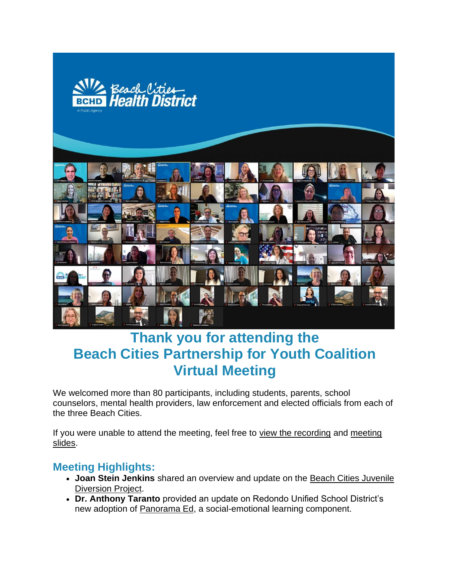

# **Thank you for attending the Beach Cities Partnership for Youth Coalition Virtual Meeting**

We welcomed more than 80 participants, including students, parents, school counselors, mental health providers, law enforcement and elected officials from each of the three Beach Cities.

If you were unable to attend the meeting, feel free to [view the recording](http://r20.rs6.net/tn.jsp?f=001R_Jdzy6XhYuu08BgxRxosCV2OYpk5N7rcH0brHa-qQQqi-bcg3x_KkNNGjTnqjmVlvN8bGVjvGq8g3XsA4mGdQTARfDNwSbKTO9xeRX3gOm87HKVSP5l-Lb4FsYqUBi-0q4NJPyX5Z73Y9B3tUjqtoJiyzvtAgKLN6zzq44e2pC80qzRci8NvQ==&c=IIowKM42MrB_MZNM2YmkNEDVeKBJGOjpOaqFoiRv2LvwqdRCeyw13w==&ch=EgapB9AHRm9UWkztjYyHWBnh5AYwF7iBc3jYFogTMak8BI6swqwTAA==) and [meeting](http://r20.rs6.net/tn.jsp?f=001R_Jdzy6XhYuu08BgxRxosCV2OYpk5N7rcH0brHa-qQQqi-bcg3x_KkNNGjTnqjmVybtEgL7LvJA9OIv9CqlvIR3refTpNlW9SsfvfMGWjUh6LKTvZnc1yJDMHZ_kJ-NCyJBtwKQeXcwdLtiqQBcvsVK17Exqk572fHNTTUdCTdRXY3LsUu_1eY-2CqyPSRWQRTfCJnujfHOelLzxjAyTvQ==&c=IIowKM42MrB_MZNM2YmkNEDVeKBJGOjpOaqFoiRv2LvwqdRCeyw13w==&ch=EgapB9AHRm9UWkztjYyHWBnh5AYwF7iBc3jYFogTMak8BI6swqwTAA==)  [slides.](http://r20.rs6.net/tn.jsp?f=001R_Jdzy6XhYuu08BgxRxosCV2OYpk5N7rcH0brHa-qQQqi-bcg3x_KkNNGjTnqjmVybtEgL7LvJA9OIv9CqlvIR3refTpNlW9SsfvfMGWjUh6LKTvZnc1yJDMHZ_kJ-NCyJBtwKQeXcwdLtiqQBcvsVK17Exqk572fHNTTUdCTdRXY3LsUu_1eY-2CqyPSRWQRTfCJnujfHOelLzxjAyTvQ==&c=IIowKM42MrB_MZNM2YmkNEDVeKBJGOjpOaqFoiRv2LvwqdRCeyw13w==&ch=EgapB9AHRm9UWkztjYyHWBnh5AYwF7iBc3jYFogTMak8BI6swqwTAA==)

# **Meeting Highlights:**

- **Joan Stein Jenkins** shared an overview and update on the [Beach Cities Juvenile](http://r20.rs6.net/tn.jsp?f=001R_Jdzy6XhYuu08BgxRxosCV2OYpk5N7rcH0brHa-qQQqi-bcg3x_KkNNGjTnqjmVPK1-9P_-UdbvOvBfGbS7IGHXpLkv3SODu5ofzY3h4qaOO4h0weMU3VgzuZLGb2Q1S-3konvoM29wD2h_EWqsblthLrYHlX0l&c=IIowKM42MrB_MZNM2YmkNEDVeKBJGOjpOaqFoiRv2LvwqdRCeyw13w==&ch=EgapB9AHRm9UWkztjYyHWBnh5AYwF7iBc3jYFogTMak8BI6swqwTAA==)  [Diversion Project.](http://r20.rs6.net/tn.jsp?f=001R_Jdzy6XhYuu08BgxRxosCV2OYpk5N7rcH0brHa-qQQqi-bcg3x_KkNNGjTnqjmVPK1-9P_-UdbvOvBfGbS7IGHXpLkv3SODu5ofzY3h4qaOO4h0weMU3VgzuZLGb2Q1S-3konvoM29wD2h_EWqsblthLrYHlX0l&c=IIowKM42MrB_MZNM2YmkNEDVeKBJGOjpOaqFoiRv2LvwqdRCeyw13w==&ch=EgapB9AHRm9UWkztjYyHWBnh5AYwF7iBc3jYFogTMak8BI6swqwTAA==)
- **Dr. Anthony Taranto** provided an update on Redondo Unified School District's new adoption of [Panorama Ed,](http://r20.rs6.net/tn.jsp?f=001R_Jdzy6XhYuu08BgxRxosCV2OYpk5N7rcH0brHa-qQQqi-bcg3x_KkNNGjTnqjmVOqQwZ3PvV9m-Q20-y_yRWctbM0TppH3GS_rDIvitnoB0KHPY172gEQQV5_ApJW2-29q5Z7aZi9WN_hfF68foKQ==&c=IIowKM42MrB_MZNM2YmkNEDVeKBJGOjpOaqFoiRv2LvwqdRCeyw13w==&ch=EgapB9AHRm9UWkztjYyHWBnh5AYwF7iBc3jYFogTMak8BI6swqwTAA==) a social-emotional learning component.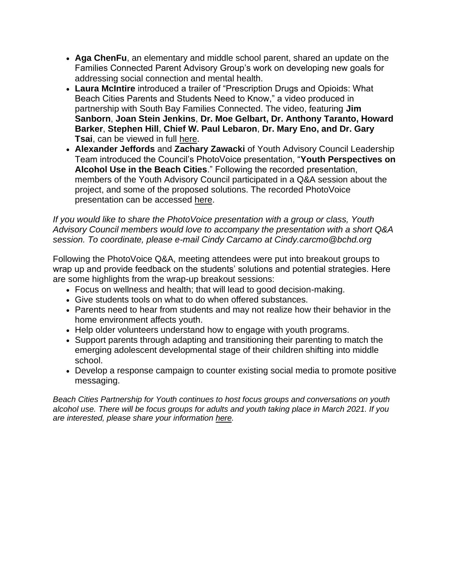- **Aga ChenFu**, an elementary and middle school parent, shared an update on the Families Connected Parent Advisory Group's work on developing new goals for addressing social connection and mental health.
- **Laura McIntire** introduced a trailer of "Prescription Drugs and Opioids: What Beach Cities Parents and Students Need to Know," a video produced in partnership with South Bay Families Connected. The video, featuring **Jim Sanborn**, **Joan Stein Jenkins**, **Dr. Moe Gelbart, Dr. Anthony Taranto, Howard Barker**, **Stephen Hill**, **Chief W. Paul Lebaron**, **Dr. Mary Eno, and Dr. Gary Tsai**, can be viewed in full [here.](http://r20.rs6.net/tn.jsp?f=001R_Jdzy6XhYuu08BgxRxosCV2OYpk5N7rcH0brHa-qQQqi-bcg3x_KrGrOmzXtnFX6oRz9R84h_lz7A6rhmCjVmhSJwN61RE_S5vGgeFVhYSsxS3jx288SQSC2DkUXBPkffbjdZRDsnSE6GFGkri_r4wkIAhsHUMICFCY_cjVT5Qnno4-F8Pn5g==&c=IIowKM42MrB_MZNM2YmkNEDVeKBJGOjpOaqFoiRv2LvwqdRCeyw13w==&ch=EgapB9AHRm9UWkztjYyHWBnh5AYwF7iBc3jYFogTMak8BI6swqwTAA==)
- **Alexander Jeffords** and **Zachary Zawacki** of Youth Advisory Council Leadership Team introduced the Council's PhotoVoice presentation, "**Youth Perspectives on Alcohol Use in the Beach Cities**." Following the recorded presentation, members of the Youth Advisory Council participated in a Q&A session about the project, and some of the proposed solutions. The recorded PhotoVoice presentation can be accessed [here.](http://r20.rs6.net/tn.jsp?f=001R_Jdzy6XhYuu08BgxRxosCV2OYpk5N7rcH0brHa-qQQqi-bcg3x_KkNNGjTnqjmVWlBs1ze8eGjcot2A_kNkTYNB_x40CzLTvDXEYcl_2eZFC_X5dDb_KHSXTGroiBm7KCSEuAYyjqH0nbEMshWH4vHsQh7_QMEH6UukMbAyklXLft1JB3lmxiJkFksj3y9wQNu9SNOXCGg=&c=IIowKM42MrB_MZNM2YmkNEDVeKBJGOjpOaqFoiRv2LvwqdRCeyw13w==&ch=EgapB9AHRm9UWkztjYyHWBnh5AYwF7iBc3jYFogTMak8BI6swqwTAA==)

*If you would like to share the PhotoVoice presentation with a group or class, Youth Advisory Council members would love to accompany the presentation with a short Q&A session. To coordinate, please e-mail Cindy Carcamo at Cindy.carcmo@bchd.org*

Following the PhotoVoice Q&A, meeting attendees were put into breakout groups to wrap up and provide feedback on the students' solutions and potential strategies. Here are some highlights from the wrap-up breakout sessions:

- Focus on wellness and health; that will lead to good decision-making.
- Give students tools on what to do when offered substances.
- Parents need to hear from students and may not realize how their behavior in the home environment affects youth.
- Help older volunteers understand how to engage with youth programs.
- Support parents through adapting and transitioning their parenting to match the emerging adolescent developmental stage of their children shifting into middle school.
- Develop a response campaign to counter existing social media to promote positive messaging.

*Beach Cities Partnership for Youth continues to host focus groups and conversations on youth alcohol use. There will be focus groups for adults and youth taking place in March 2021. If you are interested, please share your information [here.](http://r20.rs6.net/tn.jsp?f=001R_Jdzy6XhYuu08BgxRxosCV2OYpk5N7rcH0brHa-qQQqi-bcg3x_Kj1BMNv5zwoCMfszES3648rg0OLSyBEkrUkMVbHa2FxRNGrOwpnmVQSFIlv3ULMteSIIapuHnwfnrrrAMGCaXTK_WwQcV1z74glgi8ay1DU4v0b3q3HMNAjYLpNbzheHIG-v43bZfWCvrHK8513fR9g=&c=IIowKM42MrB_MZNM2YmkNEDVeKBJGOjpOaqFoiRv2LvwqdRCeyw13w==&ch=EgapB9AHRm9UWkztjYyHWBnh5AYwF7iBc3jYFogTMak8BI6swqwTAA==)*